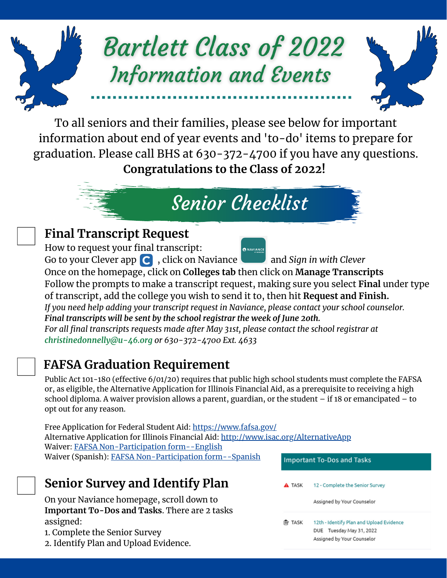

To all seniors and their families, please see below for important information about end of year events and 'to-do' items to prepare for graduation. Please call BHS at 630-372-4700 if you have any questions. **Congratulations to the Class of 2022!**

# Senior Checklist

### **Final Transcript Request**

How to request your final transcript: **ON NAVIANCE** Go to your Clever app **C**, click on Naviance and *Sign* in with *Clever* Once on the homepage, click on **Colleges tab** then click on **Manage Transcripts** Follow the prompts to make a transcript request, making sure you select **Final** under type of transcript, add the college you wish to send it to, then hit **Request and Finish.** *If you need help adding your transcript request in Naviance, please contact your school counselor. Final transcripts will be sent by the school registrar the week of June 2oth. For all final transcripts requests made after May 31st, please contact the school registrar at christinedonnelly@u-46.org or 630-372-4700 Ext. 4633*

## **FAFSA Graduation Requirement**

Public Act 101-180 (effective 6/01/20) requires that public high school students must complete the FAFSA or, as eligible, the Alternative Application for Illinois Financial Aid, as a prerequisite to receiving a high school diploma. A waiver provision allows a parent, guardian, or the student – if 18 or emancipated – to opt out for any reason.

Free Application for Federal Student Aid: [https://www.fafsa.gov/](https://studentaid.gov/h/apply-for-aid/fafsa) Alternative Application for Illinois Financial Aid: <http://www.isac.org/AlternativeApp> Waiver: FAFSA [Non-Participation](https://www.isbe.net/Documents/FAFSA-Non-Participation-Form.pdf) form--English Waiver (Spanish): FAFSA [Non-Participation](https://www.isbe.net/Documents/FAFSA-Non-Participation-Form-Spanish.pdf) form--Spanish

### **Senior Survey and Identify Plan**

On your Naviance homepage, scroll down to **Important To-Dos and Tasks**. There are 2 tasks assigned:

- 1. Complete the Senior Survey
- 2. Identify Plan and Upload Evidence.

| <b>Important To-Dos and Tasks</b> |                                                                                                    |
|-----------------------------------|----------------------------------------------------------------------------------------------------|
| A TASK                            | 12 - Complete the Senior Survey<br>Assigned by Your Counselor                                      |
| TASK                              | 12th - Identify Plan and Upload Evidence<br>DUE Tuesday May 31, 2022<br>Assigned by Your Counselor |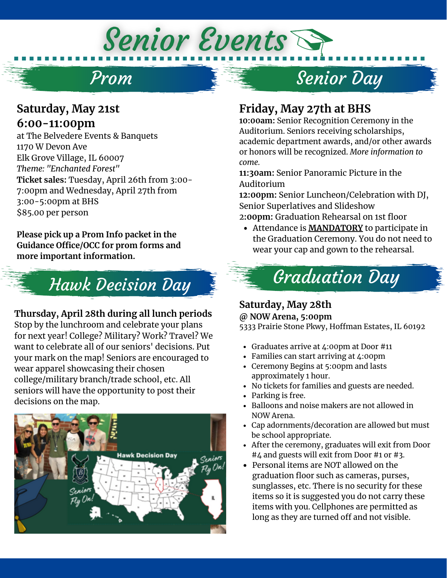### **Saturday, May 21st 6:00-11:00pm**

at The Belvedere Events & Banquets 1170 W Devon Ave Elk Grove Village, IL 60007 *Theme: "Enchanted Forest"* **Ticket sales:** Tuesday, April 26th from 3:00- 7:00pm and Wednesday, April 27th from 3:00-5:00pm at BHS \$85.00 per person

Prom

Senior Events

**Please pick up a Prom Info packet in the Guidance Office/OCC for prom forms and more important information.**



#### **Thursday, April 28th during all lunch periods**

Stop by the lunchroom and celebrate your plans for next year! College? Military? Work? Travel? We want to celebrate all of our seniors' decisions. Put your mark on the map! Seniors are encouraged to wear apparel showcasing their chosen college/military branch/trade school, etc. All seniors will have the opportunity to post their decisions on the map.



### **Friday, May 27th at BHS**

**10:00am:** Senior Recognition Ceremony in the Auditorium. Seniors receiving scholarships, academic department awards, and/or other awards or honors will be recognized. *More information to come.*

Senior Day

**11:30am:** Senior Panoramic Picture in the Auditorium

**12:00pm:** Senior Luncheon/Celebration with DJ, Senior Superlatives and Slideshow

- 2**:00pm:** Graduation Rehearsal on 1st floor
- Attendance is **MANDATORY** to participate in the Graduation Ceremony. You do not need to wear your cap and gown to the rehearsal.



#### **Saturday, May 28th @ NOW Arena, 5:00pm**

5333 Prairie Stone Pkwy, Hoffman Estates, IL 60192

- Graduates arrive at 4:00pm at Door #11
- Families can start arriving at 4:00pm
- Ceremony Begins at 5:00pm and lasts approximately 1 hour.
- No tickets for families and guests are needed.
- Parking is free.
- Balloons and noise makers are not allowed in NOW Arena.
- Cap adornments/decoration are allowed but must be school appropriate.
- After the ceremony, graduates will exit from Door #4 and guests will exit from Door #1 or #3.
- Personal items are NOT allowed on the graduation floor such as cameras, purses, sunglasses, etc. There is no security for these items so it is suggested you do not carry these items with you. Cellphones are permitted as long as they are turned off and not visible.